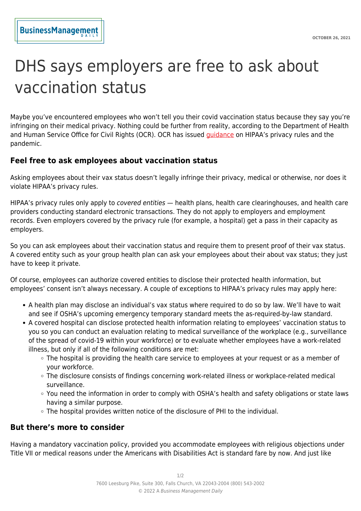## DHS says employers are free to ask about vaccination status

Maybe you've encountered employees who won't tell you their covid vaccination status because they say you're infringing on their medical privacy. Nothing could be further from reality, according to the Department of Health and Human Service Office for Civil Rights (OCR). OCR has issued *guidance* on HIPAA's privacy rules and the pandemic.

## **Feel free to ask employees about vaccination status**

Asking employees about their vax status doesn't legally infringe their privacy, medical or otherwise, nor does it violate HIPAA's privacy rules.

HIPAA's privacy rules only apply to *covered entities* — health plans, health care clearinghouses, and health care providers conducting standard electronic transactions. They do not apply to employers and employment records. Even employers covered by the privacy rule (for example, a hospital) get a pass in their capacity as employers.

So you can ask employees about their vaccination status and require them to present proof of their vax status. A covered entity such as your group health plan can ask your employees about their about vax status; they just have to keep it private.

Of course, employees can authorize covered entities to disclose their protected health information, but employees' consent isn't always necessary. A couple of exceptions to HIPAA's privacy rules may apply here:

- A health plan may disclose an individual's vax status where required to do so by law. We'll have to wait and see if OSHA's upcoming emergency temporary standard meets the as-required-by-law standard.
- A covered hospital can disclose protected health information relating to employees' vaccination status to you so you can conduct an evaluation relating to medical surveillance of the workplace (e.g., surveillance of the spread of covid-19 within your workforce) or to evaluate whether employees have a work-related illness, but only if all of the following conditions are met:
	- The hospital is providing the health care service to employees at your request or as a member of your workforce.
	- The disclosure consists of findings concerning work-related illness or workplace-related medical surveillance.
	- You need the information in order to comply with OSHA's health and safety obligations or state laws having a similar purpose.
	- $\circ$  The hospital provides written notice of the disclosure of PHI to the individual.

## **But there's more to consider**

Having a mandatory vaccination policy, provided you accommodate employees with religious objections under Title VII or medical reasons under the Americans with Disabilities Act is standard fare by now. And just like